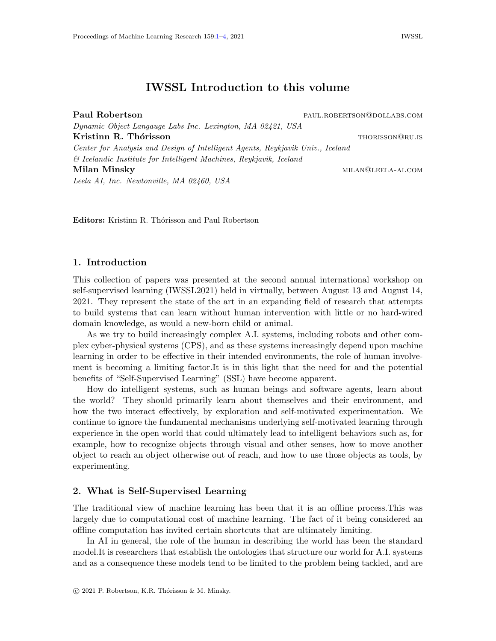# IWSSL Introduction to this volume

<span id="page-0-0"></span>

| Paul Robertson                                                                 | PAUL.ROBERTSON@DOLLABS.COM |
|--------------------------------------------------------------------------------|----------------------------|
| Dynamic Object Langauge Labs Inc. Lexington, MA 02421, USA                     |                            |
| Kristinn R. Thórisson                                                          | THORISSON@RU.IS            |
| Center for Analysis and Design of Intelligent Agents, Reykjavik Univ., Iceland |                            |
| & Icelandic Institute for Intelligent Machines, Reykjavik, Iceland             |                            |
| Milan Minsky                                                                   | MILAN@LEELA-AI.COM         |
| Leela AI, Inc. Newtonville, MA 02460, USA                                      |                            |

Editors: Kristinn R. Thórisson and Paul Robertson

## 1. Introduction

This collection of papers was presented at the second annual international workshop on self-supervised learning (IWSSL2021) held in virtually, between August 13 and August 14, 2021. They represent the state of the art in an expanding field of research that attempts to build systems that can learn without human intervention with little or no hard-wired domain knowledge, as would a new-born child or animal.

As we try to build increasingly complex A.I. systems, including robots and other complex cyber-physical systems (CPS), and as these systems increasingly depend upon machine learning in order to be effective in their intended environments, the role of human involvement is becoming a limiting factor.It is in this light that the need for and the potential benefits of "Self-Supervised Learning" (SSL) have become apparent.

How do intelligent systems, such as human beings and software agents, learn about the world? They should primarily learn about themselves and their environment, and how the two interact effectively, by exploration and self-motivated experimentation. We continue to ignore the fundamental mechanisms underlying self-motivated learning through experience in the open world that could ultimately lead to intelligent behaviors such as, for example, how to recognize objects through visual and other senses, how to move another object to reach an object otherwise out of reach, and how to use those objects as tools, by experimenting.

#### 2. What is Self-Supervised Learning

The traditional view of machine learning has been that it is an offline process.This was largely due to computational cost of machine learning. The fact of it being considered an offline computation has invited certain shortcuts that are ultimately limiting.

In AI in general, the role of the human in describing the world has been the standard model.It is researchers that establish the ontologies that structure our world for A.I. systems and as a consequence these models tend to be limited to the problem being tackled, and are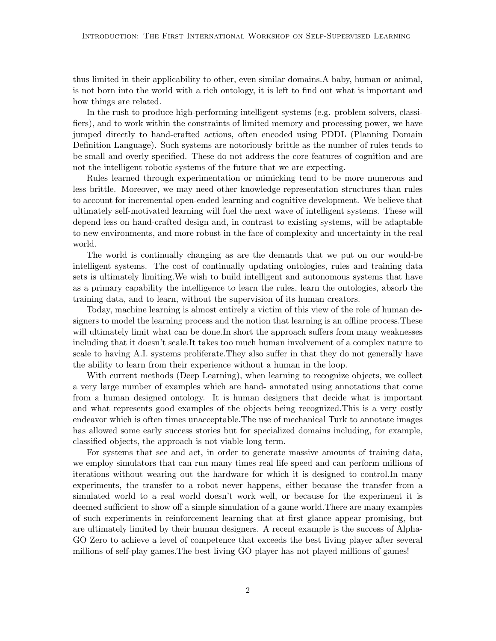thus limited in their applicability to other, even similar domains.A baby, human or animal, is not born into the world with a rich ontology, it is left to find out what is important and how things are related.

In the rush to produce high-performing intelligent systems (e.g. problem solvers, classifiers), and to work within the constraints of limited memory and processing power, we have jumped directly to hand-crafted actions, often encoded using PDDL (Planning Domain Definition Language). Such systems are notoriously brittle as the number of rules tends to be small and overly specified. These do not address the core features of cognition and are not the intelligent robotic systems of the future that we are expecting.

Rules learned through experimentation or mimicking tend to be more numerous and less brittle. Moreover, we may need other knowledge representation structures than rules to account for incremental open-ended learning and cognitive development. We believe that ultimately self-motivated learning will fuel the next wave of intelligent systems. These will depend less on hand-crafted design and, in contrast to existing systems, will be adaptable to new environments, and more robust in the face of complexity and uncertainty in the real world.

The world is continually changing as are the demands that we put on our would-be intelligent systems. The cost of continually updating ontologies, rules and training data sets is ultimately limiting.We wish to build intelligent and autonomous systems that have as a primary capability the intelligence to learn the rules, learn the ontologies, absorb the training data, and to learn, without the supervision of its human creators.

Today, machine learning is almost entirely a victim of this view of the role of human designers to model the learning process and the notion that learning is an offline process.These will ultimately limit what can be done. In short the approach suffers from many weaknesses including that it doesn't scale.It takes too much human involvement of a complex nature to scale to having A.I. systems proliferate.They also suffer in that they do not generally have the ability to learn from their experience without a human in the loop.

With current methods (Deep Learning), when learning to recognize objects, we collect a very large number of examples which are hand- annotated using annotations that come from a human designed ontology. It is human designers that decide what is important and what represents good examples of the objects being recognized.This is a very costly endeavor which is often times unacceptable.The use of mechanical Turk to annotate images has allowed some early success stories but for specialized domains including, for example, classified objects, the approach is not viable long term.

For systems that see and act, in order to generate massive amounts of training data, we employ simulators that can run many times real life speed and can perform millions of iterations without wearing out the hardware for which it is designed to control.In many experiments, the transfer to a robot never happens, either because the transfer from a simulated world to a real world doesn't work well, or because for the experiment it is deemed sufficient to show off a simple simulation of a game world.There are many examples of such experiments in reinforcement learning that at first glance appear promising, but are ultimately limited by their human designers. A recent example is the success of Alpha-GO Zero to achieve a level of competence that exceeds the best living player after several millions of self-play games.The best living GO player has not played millions of games!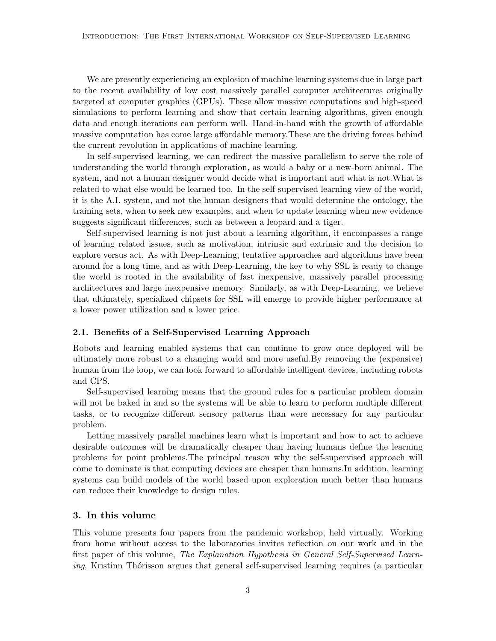We are presently experiencing an explosion of machine learning systems due in large part to the recent availability of low cost massively parallel computer architectures originally targeted at computer graphics (GPUs). These allow massive computations and high-speed simulations to perform learning and show that certain learning algorithms, given enough data and enough iterations can perform well. Hand-in-hand with the growth of affordable massive computation has come large affordable memory.These are the driving forces behind the current revolution in applications of machine learning.

In self-supervised learning, we can redirect the massive parallelism to serve the role of understanding the world through exploration, as would a baby or a new-born animal. The system, and not a human designer would decide what is important and what is not.What is related to what else would be learned too. In the self-supervised learning view of the world, it is the A.I. system, and not the human designers that would determine the ontology, the training sets, when to seek new examples, and when to update learning when new evidence suggests significant differences, such as between a leopard and a tiger.

Self-supervised learning is not just about a learning algorithm, it encompasses a range of learning related issues, such as motivation, intrinsic and extrinsic and the decision to explore versus act. As with Deep-Learning, tentative approaches and algorithms have been around for a long time, and as with Deep-Learning, the key to why SSL is ready to change the world is rooted in the availability of fast inexpensive, massively parallel processing architectures and large inexpensive memory. Similarly, as with Deep-Learning, we believe that ultimately, specialized chipsets for SSL will emerge to provide higher performance at a lower power utilization and a lower price.

#### 2.1. Benefits of a Self-Supervised Learning Approach

Robots and learning enabled systems that can continue to grow once deployed will be ultimately more robust to a changing world and more useful.By removing the (expensive) human from the loop, we can look forward to affordable intelligent devices, including robots and CPS.

Self-supervised learning means that the ground rules for a particular problem domain will not be baked in and so the systems will be able to learn to perform multiple different tasks, or to recognize different sensory patterns than were necessary for any particular problem.

Letting massively parallel machines learn what is important and how to act to achieve desirable outcomes will be dramatically cheaper than having humans define the learning problems for point problems.The principal reason why the self-supervised approach will come to dominate is that computing devices are cheaper than humans.In addition, learning systems can build models of the world based upon exploration much better than humans can reduce their knowledge to design rules.

## 3. In this volume

This volume presents four papers from the pandemic workshop, held virtually. Working from home without access to the laboratories invites reflection on our work and in the first paper of this volume, The Explanation Hypothesis in General Self-Supervised Learn $ing$ , Kristinn Thórisson argues that general self-supervised learning requires (a particular